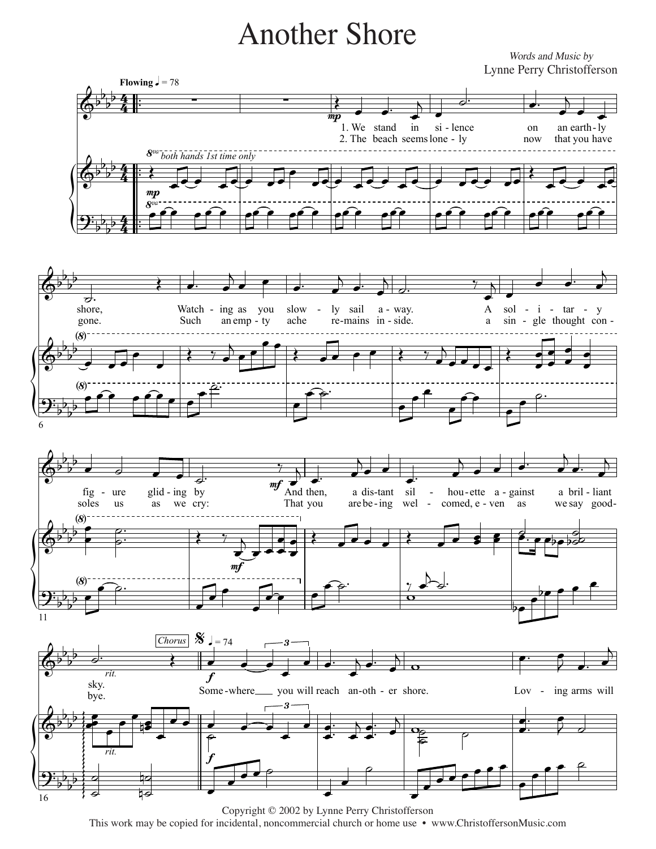## **Another Shore**

Words and Music by Lynne Perry Christofferson



Copyright © 2002 by Lynne Perry Christofferson This work may be copied for incidental, noncommercial church or home use • www.ChristoffersonMusic.com